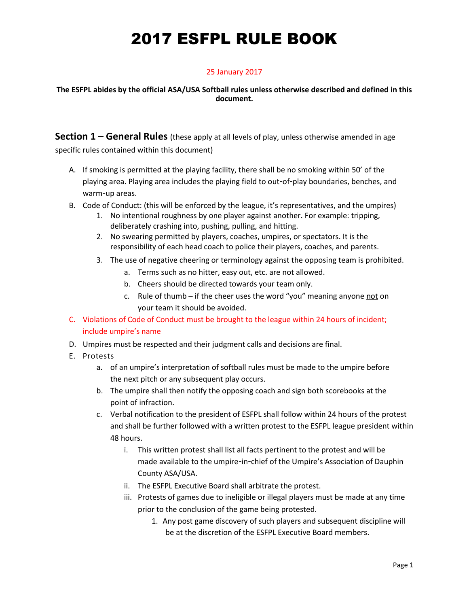#### 25 January 2017

#### **The ESFPL abides by the official ASA/USA Softball rules unless otherwise described and defined in this document.**

**Section 1 – General Rules** (these apply at all levels of play, unless otherwise amended in age specific rules contained within this document)

- A. If smoking is permitted at the playing facility, there shall be no smoking within 50' of the playing area. Playing area includes the playing field to out-of-play boundaries, benches, and warm-up areas.
- B. Code of Conduct: (this will be enforced by the league, it's representatives, and the umpires)
	- 1. No intentional roughness by one player against another. For example: tripping, deliberately crashing into, pushing, pulling, and hitting.
	- 2. No swearing permitted by players, coaches, umpires, or spectators. It is the responsibility of each head coach to police their players, coaches, and parents.
	- 3. The use of negative cheering or terminology against the opposing team is prohibited.
		- a. Terms such as no hitter, easy out, etc. are not allowed.
		- b. Cheers should be directed towards your team only.
		- c. Rule of thumb if the cheer uses the word "you" meaning anyone not on your team it should be avoided.
- C. Violations of Code of Conduct must be brought to the league within 24 hours of incident; include umpire's name
- D. Umpires must be respected and their judgment calls and decisions are final.
- E. Protests
	- a. of an umpire's interpretation of softball rules must be made to the umpire before the next pitch or any subsequent play occurs.
	- b. The umpire shall then notify the opposing coach and sign both scorebooks at the point of infraction.
	- c. Verbal notification to the president of ESFPL shall follow within 24 hours of the protest and shall be further followed with a written protest to the ESFPL league president within 48 hours.
		- i. This written protest shall list all facts pertinent to the protest and will be made available to the umpire-in-chief of the Umpire's Association of Dauphin County ASA/USA.
		- ii. The ESFPL Executive Board shall arbitrate the protest.
		- iii. Protests of games due to ineligible or illegal players must be made at any time prior to the conclusion of the game being protested.
			- 1. Any post game discovery of such players and subsequent discipline will be at the discretion of the ESFPL Executive Board members.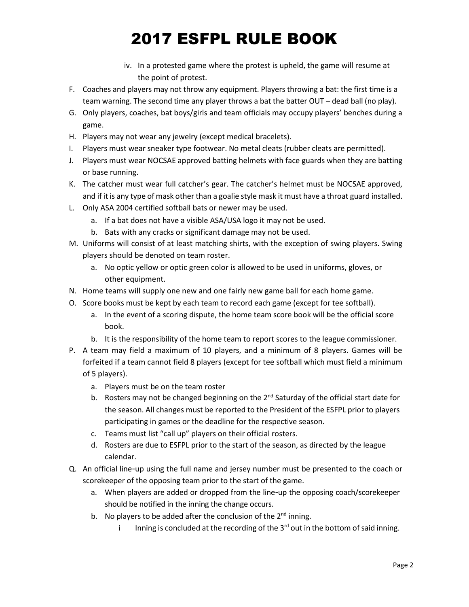- iv. In a protested game where the protest is upheld, the game will resume at the point of protest.
- F. Coaches and players may not throw any equipment. Players throwing a bat: the first time is a team warning. The second time any player throws a bat the batter OUT – dead ball (no play).
- G. Only players, coaches, bat boys/girls and team officials may occupy players' benches during a game.
- H. Players may not wear any jewelry (except medical bracelets).
- I. Players must wear sneaker type footwear. No metal cleats (rubber cleats are permitted).
- J. Players must wear NOCSAE approved batting helmets with face guards when they are batting or base running.
- K. The catcher must wear full catcher's gear. The catcher's helmet must be NOCSAE approved, and if it is any type of mask other than a goalie style mask it must have a throat guard installed.
- L. Only ASA 2004 certified softball bats or newer may be used.
	- a. If a bat does not have a visible ASA/USA logo it may not be used.
	- b. Bats with any cracks or significant damage may not be used.
- M. Uniforms will consist of at least matching shirts, with the exception of swing players. Swing players should be denoted on team roster.
	- a. No optic yellow or optic green color is allowed to be used in uniforms, gloves, or other equipment.
- N. Home teams will supply one new and one fairly new game ball for each home game.
- O. Score books must be kept by each team to record each game (except for tee softball).
	- a. In the event of a scoring dispute, the home team score book will be the official score book.
	- b. It is the responsibility of the home team to report scores to the league commissioner.
- P. A team may field a maximum of 10 players, and a minimum of 8 players. Games will be forfeited if a team cannot field 8 players (except for tee softball which must field a minimum of 5 players).
	- a. Players must be on the team roster
	- b. Rosters may not be changed beginning on the  $2^{nd}$  Saturday of the official start date for the season. All changes must be reported to the President of the ESFPL prior to players participating in games or the deadline for the respective season.
	- c. Teams must list "call up" players on their official rosters.
	- d. Rosters are due to ESFPL prior to the start of the season, as directed by the league calendar.
- Q. An official line-up using the full name and jersey number must be presented to the coach or scorekeeper of the opposing team prior to the start of the game.
	- a. When players are added or dropped from the line-up the opposing coach/scorekeeper should be notified in the inning the change occurs.
	- b. No players to be added after the conclusion of the  $2^{nd}$  inning.
		- i Inning is concluded at the recording of the  $3<sup>rd</sup>$  out in the bottom of said inning.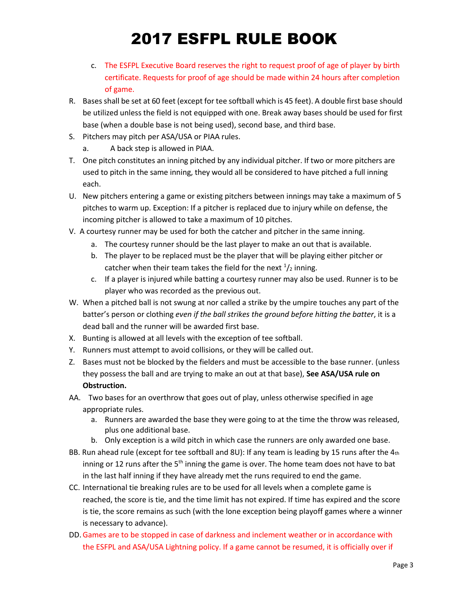- c. The ESFPL Executive Board reserves the right to request proof of age of player by birth certificate. Requests for proof of age should be made within 24 hours after completion of game.
- R. Bases shall be set at 60 feet (except for tee softball which is 45 feet). A double first base should be utilized unless the field is not equipped with one. Break away bases should be used for first base (when a double base is not being used), second base, and third base.
- S. Pitchers may pitch per ASA/USA or PIAA rules.
	- a. A back step is allowed in PIAA.
- T. One pitch constitutes an inning pitched by any individual pitcher. If two or more pitchers are used to pitch in the same inning, they would all be considered to have pitched a full inning each.
- U. New pitchers entering a game or existing pitchers between innings may take a maximum of 5 pitches to warm up. Exception: If a pitcher is replaced due to injury while on defense, the incoming pitcher is allowed to take a maximum of 10 pitches.
- V. A courtesy runner may be used for both the catcher and pitcher in the same inning.
	- a. The courtesy runner should be the last player to make an out that is available.
	- b. The player to be replaced must be the player that will be playing either pitcher or catcher when their team takes the field for the next  $\frac{1}{2}$  inning.
	- c. If a player is injured while batting a courtesy runner may also be used. Runner is to be player who was recorded as the previous out.
- W. When a pitched ball is not swung at nor called a strike by the umpire touches any part of the batter's person or clothing *even if the ball strikes the ground before hitting the batter*, it is a dead ball and the runner will be awarded first base.
- X. Bunting is allowed at all levels with the exception of tee softball.
- Y. Runners must attempt to avoid collisions, or they will be called out.
- Z. Bases must not be blocked by the fielders and must be accessible to the base runner. (unless they possess the ball and are trying to make an out at that base), **See ASA/USA rule on Obstruction.**
- AA. Two bases for an overthrow that goes out of play, unless otherwise specified in age appropriate rules.
	- a. Runners are awarded the base they were going to at the time the throw was released, plus one additional base.
	- b. Only exception is a wild pitch in which case the runners are only awarded one base.
- BB. Run ahead rule (except for tee softball and 8U): If any team is leading by 15 runs after the 4th inning or 12 runs after the  $5<sup>th</sup>$  inning the game is over. The home team does not have to bat in the last half inning if they have already met the runs required to end the game.
- CC. International tie breaking rules are to be used for all levels when a complete game is reached, the score is tie, and the time limit has not expired. If time has expired and the score is tie, the score remains as such (with the lone exception being playoff games where a winner is necessary to advance).
- DD.Games are to be stopped in case of darkness and inclement weather or in accordance with the ESFPL and ASA/USA Lightning policy. If a game cannot be resumed, it is officially over if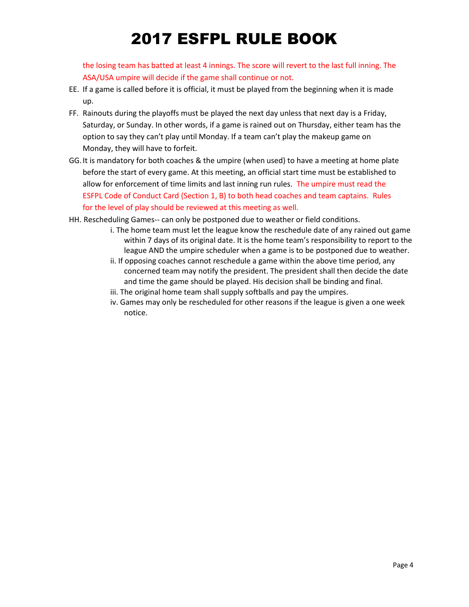the losing team has batted at least 4 innings. The score will revert to the last full inning. The ASA/USA umpire will decide if the game shall continue or not.

- EE. If a game is called before it is official, it must be played from the beginning when it is made up.
- FF. Rainouts during the playoffs must be played the next day unless that next day is a Friday, Saturday, or Sunday. In other words, if a game is rained out on Thursday, either team has the option to say they can't play until Monday. If a team can't play the makeup game on Monday, they will have to forfeit.
- GG.It is mandatory for both coaches & the umpire (when used) to have a meeting at home plate before the start of every game. At this meeting, an official start time must be established to allow for enforcement of time limits and last inning run rules. The umpire must read the ESFPL Code of Conduct Card (Section 1, B) to both head coaches and team captains. Rules for the level of play should be reviewed at this meeting as well.
- HH. Rescheduling Games-- can only be postponed due to weather or field conditions.
	- i. The home team must let the league know the reschedule date of any rained out game within 7 days of its original date. It is the home team's responsibility to report to the league AND the umpire scheduler when a game is to be postponed due to weather.
	- ii. If opposing coaches cannot reschedule a game within the above time period, any concerned team may notify the president. The president shall then decide the date and time the game should be played. His decision shall be binding and final.
	- iii. The original home team shall supply softballs and pay the umpires.
	- iv. Games may only be rescheduled for other reasons if the league is given a one week notice.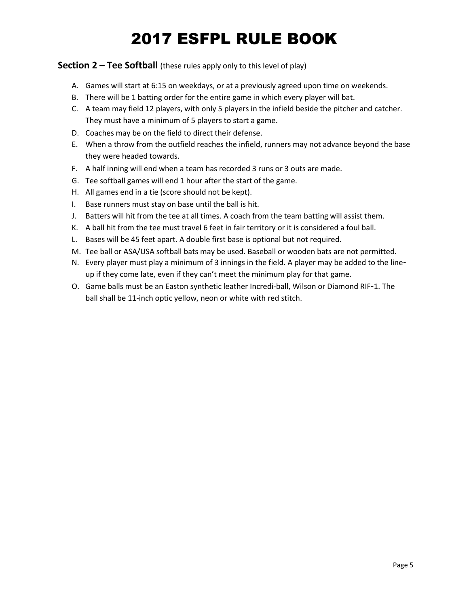#### **Section 2 – Tee Softball** (these rules apply only to this level of play)

- A. Games will start at 6:15 on weekdays, or at a previously agreed upon time on weekends.
- B. There will be 1 batting order for the entire game in which every player will bat.
- C. A team may field 12 players, with only 5 players in the infield beside the pitcher and catcher. They must have a minimum of 5 players to start a game.
- D. Coaches may be on the field to direct their defense.
- E. When a throw from the outfield reaches the infield, runners may not advance beyond the base they were headed towards.
- F. A half inning will end when a team has recorded 3 runs or 3 outs are made.
- G. Tee softball games will end 1 hour after the start of the game.
- H. All games end in a tie (score should not be kept).
- I. Base runners must stay on base until the ball is hit.
- J. Batters will hit from the tee at all times. A coach from the team batting will assist them.
- K. A ball hit from the tee must travel 6 feet in fair territory or it is considered a foul ball.
- L. Bases will be 45 feet apart. A double first base is optional but not required.
- M. Tee ball or ASA/USA softball bats may be used. Baseball or wooden bats are not permitted.
- N. Every player must play a minimum of 3 innings in the field. A player may be added to the lineup if they come late, even if they can't meet the minimum play for that game.
- O. Game balls must be an Easton synthetic leather Incredi-ball, Wilson or Diamond RIF-1. The ball shall be 11-inch optic yellow, neon or white with red stitch.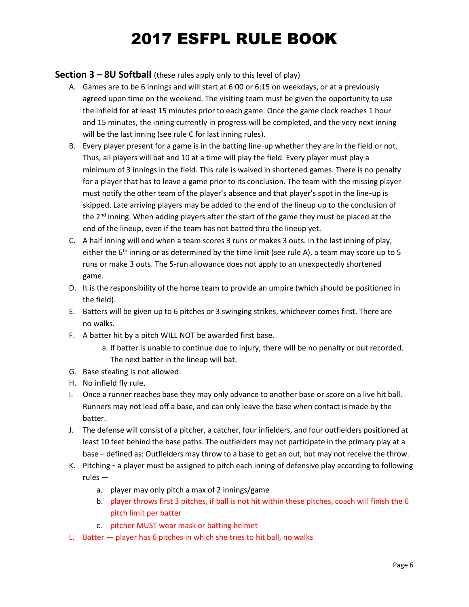### **Section 3 – 8U Softball** (these rules apply only to this level of play)

- A. Games are to be 6 innings and will start at 6:00 or 6:15 on weekdays, or at a previously agreed upon time on the weekend. The visiting team must be given the opportunity to use the infield for at least 15 minutes prior to each game. Once the game clock reaches 1 hour and 15 minutes, the inning currently in progress will be completed, and the very next inning will be the last inning (see rule C for last inning rules).
- B. Every player present for a game is in the batting line-up whether they are in the field or not. Thus, all players will bat and 10 at a time will play the field. Every player must play a minimum of 3 innings in the field. This rule is waived in shortened games. There is no penalty for a player that has to leave a game prior to its conclusion. The team with the missing player must notify the other team of the player's absence and that player's spot in the line-up is skipped. Late arriving players may be added to the end of the lineup up to the conclusion of the  $2^{nd}$  inning. When adding players after the start of the game they must be placed at the end of the lineup, even if the team has not batted thru the lineup yet.
- C. A half inning will end when a team scores 3 runs or makes 3 outs. In the last inning of play, either the  $6<sup>th</sup>$  inning or as determined by the time limit (see rule A), a team may score up to 5 runs or make 3 outs. The 5-run allowance does not apply to an unexpectedly shortened game.
- D. It is the responsibility of the home team to provide an umpire (which should be positioned in the field).
- E. Batters will be given up to 6 pitches or 3 swinging strikes, whichever comes first. There are no walks.
- F. A batter hit by a pitch WILL NOT be awarded first base.
	- a. If batter is unable to continue due to injury, there will be no penalty or out recorded. The next batter in the lineup will bat.
- G. Base stealing is not allowed.
- H. No infield fly rule.
- I. Once a runner reaches base they may only advance to another base or score on a live hit ball. Runners may not lead off a base, and can only leave the base when contact is made by the batter.
- J. The defense will consist of a pitcher, a catcher, four infielders, and four outfielders positioned at least 10 feet behind the base paths. The outfielders may not participate in the primary play at a base – defined as: Outfielders may throw to a base to get an out, but may not receive the throw.
- K. Pitching a player must be assigned to pitch each inning of defensive play according to following rules
	- a. player may only pitch a max of 2 innings/game
	- b. player throws first 3 pitches, if ball is not hit within these pitches, coach will finish the 6 pitch limit per batter
	- c. pitcher MUST wear mask or batting helmet
- L. Batter player has 6 pitches in which she tries to hit ball, no walks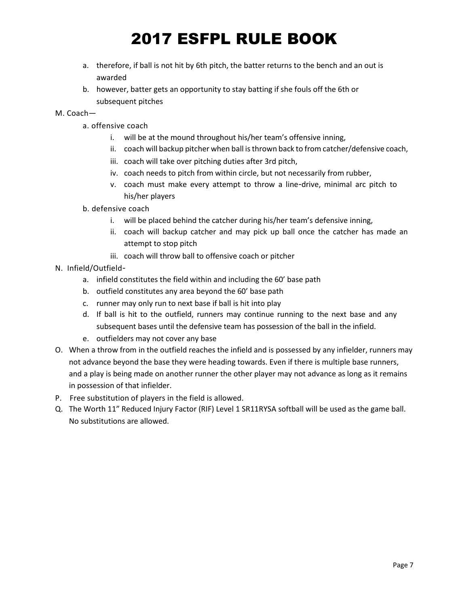- a. therefore, if ball is not hit by 6th pitch, the batter returns to the bench and an out is awarded
- b. however, batter gets an opportunity to stay batting if she fouls off the 6th or subsequent pitches

#### M. Coach—

- a. offensive coach
	- i. will be at the mound throughout his/her team's offensive inning,
	- ii. coach will backup pitcher when ball is thrown back to from catcher/defensive coach,
	- iii. coach will take over pitching duties after 3rd pitch,
	- iv. coach needs to pitch from within circle, but not necessarily from rubber,
	- v. coach must make every attempt to throw a line-drive, minimal arc pitch to his/her players
- b. defensive coach
	- i. will be placed behind the catcher during his/her team's defensive inning,
	- ii. coach will backup catcher and may pick up ball once the catcher has made an attempt to stop pitch
	- iii. coach will throw ball to offensive coach or pitcher
- N. Infield/Outfield
	- a. infield constitutes the field within and including the 60' base path
	- b. outfield constitutes any area beyond the 60' base path
	- c. runner may only run to next base if ball is hit into play
	- d. If ball is hit to the outfield, runners may continue running to the next base and any subsequent bases until the defensive team has possession of the ball in the infield.
	- e. outfielders may not cover any base
- O. When a throw from in the outfield reaches the infield and is possessed by any infielder, runners may not advance beyond the base they were heading towards. Even if there is multiple base runners, and a play is being made on another runner the other player may not advance as long as it remains in possession of that infielder.
- P. Free substitution of players in the field is allowed.
- Q. The Worth 11" Reduced Injury Factor (RIF) Level 1 SR11RYSA softball will be used as the game ball. No substitutions are allowed.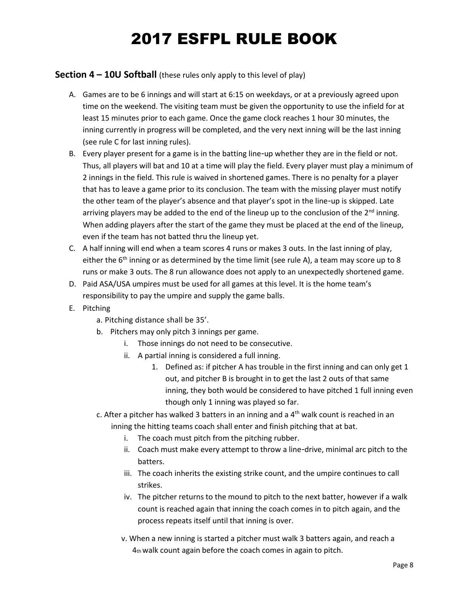### **Section 4 – 10U Softball** (these rules only apply to this level of play)

- A. Games are to be 6 innings and will start at 6:15 on weekdays, or at a previously agreed upon time on the weekend. The visiting team must be given the opportunity to use the infield for at least 15 minutes prior to each game. Once the game clock reaches 1 hour 30 minutes, the inning currently in progress will be completed, and the very next inning will be the last inning (see rule C for last inning rules).
- B. Every player present for a game is in the batting line-up whether they are in the field or not. Thus, all players will bat and 10 at a time will play the field. Every player must play a minimum of 2 innings in the field. This rule is waived in shortened games. There is no penalty for a player that has to leave a game prior to its conclusion. The team with the missing player must notify the other team of the player's absence and that player's spot in the line-up is skipped. Late arriving players may be added to the end of the lineup up to the conclusion of the  $2<sup>nd</sup>$  inning. When adding players after the start of the game they must be placed at the end of the lineup, even if the team has not batted thru the lineup yet.
- C. A half inning will end when a team scores 4 runs or makes 3 outs. In the last inning of play, either the  $6<sup>th</sup>$  inning or as determined by the time limit (see rule A), a team may score up to 8 runs or make 3 outs. The 8 run allowance does not apply to an unexpectedly shortened game.
- D. Paid ASA/USA umpires must be used for all games at this level. It is the home team's responsibility to pay the umpire and supply the game balls.
- E. Pitching
	- a. Pitching distance shall be 35'.
	- b. Pitchers may only pitch 3 innings per game.
		- i. Those innings do not need to be consecutive.
		- ii. A partial inning is considered a full inning.
			- 1. Defined as: if pitcher A has trouble in the first inning and can only get 1 out, and pitcher B is brought in to get the last 2 outs of that same inning, they both would be considered to have pitched 1 full inning even though only 1 inning was played so far.
	- c. After a pitcher has walked 3 batters in an inning and a  $4<sup>th</sup>$  walk count is reached in an
		- inning the hitting teams coach shall enter and finish pitching that at bat.
			- i. The coach must pitch from the pitching rubber.
			- ii. Coach must make every attempt to throw a line-drive, minimal arc pitch to the batters.
			- iii. The coach inherits the existing strike count, and the umpire continues to call strikes.
			- iv. The pitcher returns to the mound to pitch to the next batter, however if a walk count is reached again that inning the coach comes in to pitch again, and the process repeats itself until that inning is over.
			- v. When a new inning is started a pitcher must walk 3 batters again, and reach a 4th walk count again before the coach comes in again to pitch.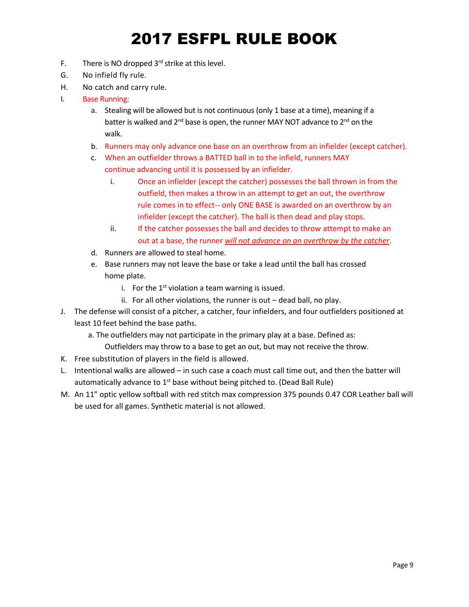- F. There is NO dropped  $3<sup>rd</sup>$  strike at this level.
- G. No infield fly rule.
- H. No catch and carry rule.
- I. Base Running:
	- a. Stealing will be allowed but is not continuous (only 1 base at a time), meaning if a batter is walked and  $2^{nd}$  base is open, the runner MAY NOT advance to  $2^{nd}$  on the walk.
	- b. Runners may only advance one base on an overthrow from an infielder (except catcher).
	- c. When an outfielder throws a BATTED ball in to the infield, runners MAY continue advancing until it is possessed by an infielder.
		- i. Once an infielder (except the catcher) possesses the ball thrown in from the outfield, then makes a throw in an attempt to get an out, the overthrow rule comes in to effect-- only ONE BASE is awarded on an overthrow by an infielder (except the catcher). The ball is then dead and play stops.
		- ii. If the catcher possesses the ball and decides to throw attempt to make an out at a base, the runner *will not advance on an overthrow by the catcher*.
	- d. Runners are allowed to steal home.
	- e. Base runners may not leave the base or take a lead until the ball has crossed home plate.
		- i. For the  $1<sup>st</sup>$  violation a team warning is issued.
		- ii. For all other violations, the runner is out dead ball, no play.
- J. The defense will consist of a pitcher, a catcher, four infielders, and four outfielders positioned at least 10 feet behind the base paths.
	- a. The outfielders may not participate in the primary play at a base. Defined as:
		- Outfielders may throw to a base to get an out, but may not receive the throw.
- K. Free substitution of players in the field is allowed.
- L. Intentional walks are allowed in such case a coach must call time out, and then the batter will automatically advance to  $1<sup>st</sup>$  base without being pitched to. (Dead Ball Rule)
- M. An 11" optic yellow softball with red stitch max compression 375 pounds 0.47 COR Leather ball will be used for all games. Synthetic material is not allowed.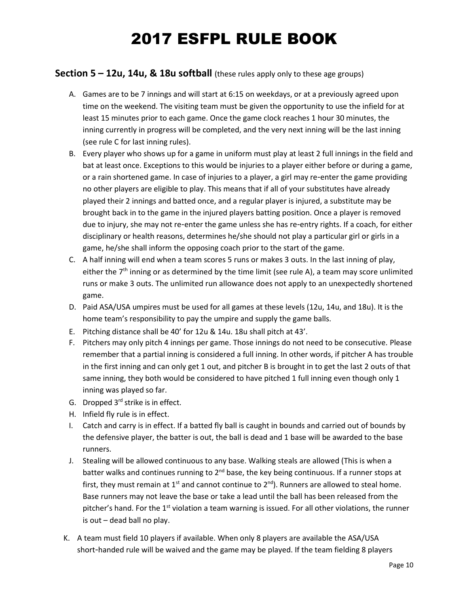### **Section 5 – 12u, 14u, & 18u softball** (these rules apply only to these age groups)

- A. Games are to be 7 innings and will start at 6:15 on weekdays, or at a previously agreed upon time on the weekend. The visiting team must be given the opportunity to use the infield for at least 15 minutes prior to each game. Once the game clock reaches 1 hour 30 minutes, the inning currently in progress will be completed, and the very next inning will be the last inning (see rule C for last inning rules).
- B. Every player who shows up for a game in uniform must play at least 2 full innings in the field and bat at least once. Exceptions to this would be injuries to a player either before or during a game, or a rain shortened game. In case of injuries to a player, a girl may re-enter the game providing no other players are eligible to play. This means that if all of your substitutes have already played their 2 innings and batted once, and a regular player is injured, a substitute may be brought back in to the game in the injured players batting position. Once a player is removed due to injury, she may not re-enter the game unless she has re-entry rights. If a coach, for either disciplinary or health reasons, determines he/she should not play a particular girl or girls in a game, he/she shall inform the opposing coach prior to the start of the game.
- C. A half inning will end when a team scores 5 runs or makes 3 outs. In the last inning of play, either the  $7<sup>th</sup>$  inning or as determined by the time limit (see rule A), a team may score unlimited runs or make 3 outs. The unlimited run allowance does not apply to an unexpectedly shortened game.
- D. Paid ASA/USA umpires must be used for all games at these levels (12u, 14u, and 18u). It is the home team's responsibility to pay the umpire and supply the game balls.
- E. Pitching distance shall be 40' for 12u & 14u. 18u shall pitch at 43'.
- F. Pitchers may only pitch 4 innings per game. Those innings do not need to be consecutive. Please remember that a partial inning is considered a full inning. In other words, if pitcher A has trouble in the first inning and can only get 1 out, and pitcher B is brought in to get the last 2 outs of that same inning, they both would be considered to have pitched 1 full inning even though only 1 inning was played so far.
- G. Dropped  $3<sup>rd</sup>$  strike is in effect.
- H. Infield fly rule is in effect.
- I. Catch and carry is in effect. If a batted fly ball is caught in bounds and carried out of bounds by the defensive player, the batter is out, the ball is dead and 1 base will be awarded to the base runners.
- J. Stealing will be allowed continuous to any base. Walking steals are allowed (This is when a batter walks and continues running to 2<sup>nd</sup> base, the key being continuous. If a runner stops at first, they must remain at  $1^{st}$  and cannot continue to  $2^{nd}$ ). Runners are allowed to steal home. Base runners may not leave the base or take a lead until the ball has been released from the pitcher's hand. For the  $1<sup>st</sup>$  violation a team warning is issued. For all other violations, the runner is out – dead ball no play.
- K. A team must field 10 players if available. When only 8 players are available the ASA/USA short-handed rule will be waived and the game may be played. If the team fielding 8 players